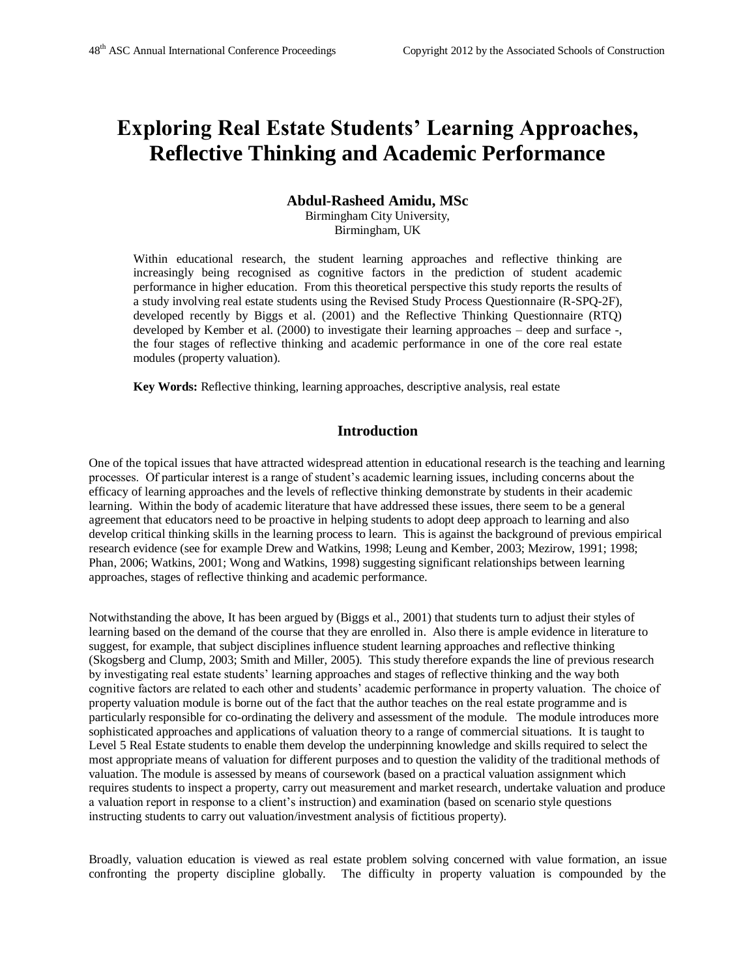# **Exploring Real Estate Students' Learning Approaches, Reflective Thinking and Academic Performance**

### **Abdul-Rasheed Amidu, MSc**

Birmingham City University, Birmingham, UK

Within educational research, the student learning approaches and reflective thinking are increasingly being recognised as cognitive factors in the prediction of student academic performance in higher education. From this theoretical perspective this study reports the results of a study involving real estate students using the Revised Study Process Questionnaire (R-SPQ-2F), developed recently by Biggs et al. (2001) and the Reflective Thinking Questionnaire (RTQ) developed by Kember et al. (2000) to investigate their learning approaches – deep and surface -, the four stages of reflective thinking and academic performance in one of the core real estate modules (property valuation).

**Key Words:** Reflective thinking, learning approaches, descriptive analysis, real estate

## **Introduction**

One of the topical issues that have attracted widespread attention in educational research is the teaching and learning processes. Of particular interest is a range of student's academic learning issues, including concerns about the efficacy of learning approaches and the levels of reflective thinking demonstrate by students in their academic learning. Within the body of academic literature that have addressed these issues, there seem to be a general agreement that educators need to be proactive in helping students to adopt deep approach to learning and also develop critical thinking skills in the learning process to learn. This is against the background of previous empirical research evidence (see for example Drew and Watkins, 1998; Leung and Kember, 2003; Mezirow, 1991; 1998; Phan, 2006; Watkins, 2001; Wong and Watkins, 1998) suggesting significant relationships between learning approaches, stages of reflective thinking and academic performance.

Notwithstanding the above, It has been argued by (Biggs et al., 2001) that students turn to adjust their styles of learning based on the demand of the course that they are enrolled in. Also there is ample evidence in literature to suggest, for example, that subject disciplines influence student learning approaches and reflective thinking (Skogsberg and Clump, 2003; Smith and Miller, 2005). This study therefore expands the line of previous research by investigating real estate students' learning approaches and stages of reflective thinking and the way both cognitive factors are related to each other and students' academic performance in property valuation. The choice of property valuation module is borne out of the fact that the author teaches on the real estate programme and is particularly responsible for co-ordinating the delivery and assessment of the module. The module introduces more sophisticated approaches and applications of valuation theory to a range of commercial situations. It is taught to Level 5 Real Estate students to enable them develop the underpinning knowledge and skills required to select the most appropriate means of valuation for different purposes and to question the validity of the traditional methods of valuation. The module is assessed by means of coursework (based on a practical valuation assignment which requires students to inspect a property, carry out measurement and market research, undertake valuation and produce a valuation report in response to a client's instruction) and examination (based on scenario style questions instructing students to carry out valuation/investment analysis of fictitious property).

Broadly, valuation education is viewed as real estate problem solving concerned with value formation, an issue confronting the property discipline globally. The difficulty in property valuation is compounded by the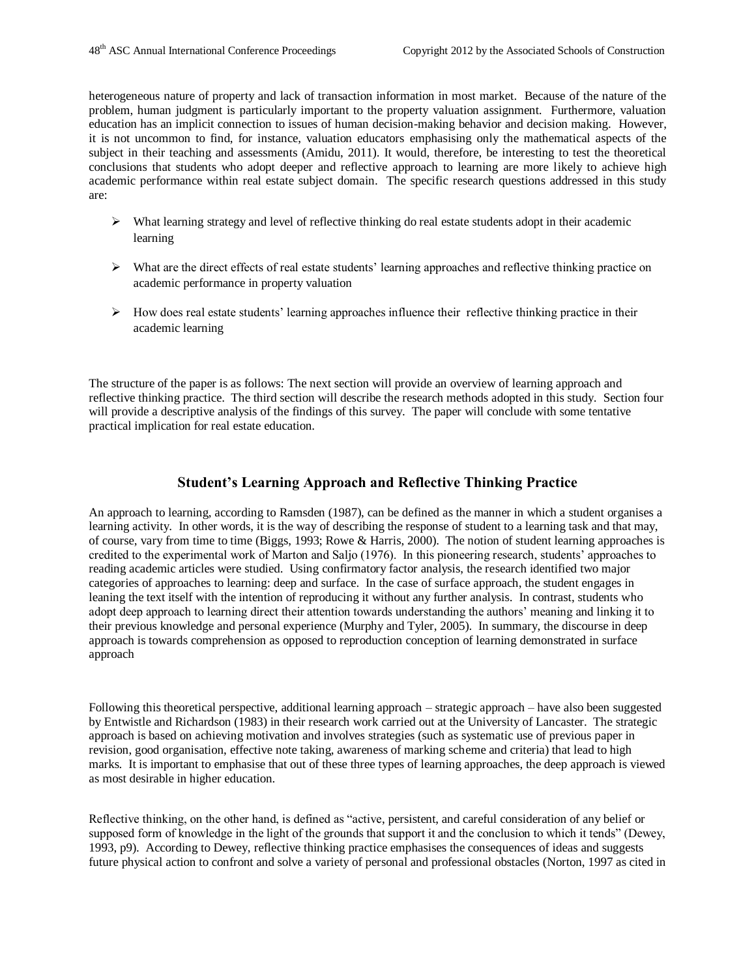heterogeneous nature of property and lack of transaction information in most market. Because of the nature of the problem, human judgment is particularly important to the property valuation assignment. Furthermore, valuation education has an implicit connection to issues of human decision-making behavior and decision making. However, it is not uncommon to find, for instance, valuation educators emphasising only the mathematical aspects of the subject in their teaching and assessments (Amidu, 2011). It would, therefore, be interesting to test the theoretical conclusions that students who adopt deeper and reflective approach to learning are more likely to achieve high academic performance within real estate subject domain. The specific research questions addressed in this study are:

- $\triangleright$  What learning strategy and level of reflective thinking do real estate students adopt in their academic learning
- $\triangleright$  What are the direct effects of real estate students' learning approaches and reflective thinking practice on academic performance in property valuation
- $\triangleright$  How does real estate students' learning approaches influence their reflective thinking practice in their academic learning

The structure of the paper is as follows: The next section will provide an overview of learning approach and reflective thinking practice. The third section will describe the research methods adopted in this study. Section four will provide a descriptive analysis of the findings of this survey. The paper will conclude with some tentative practical implication for real estate education.

#### **Student's Learning Approach and Reflective Thinking Practice**

An approach to learning, according to Ramsden (1987), can be defined as the manner in which a student organises a learning activity. In other words, it is the way of describing the response of student to a learning task and that may, of course, vary from time to time (Biggs, 1993; Rowe & Harris, 2000). The notion of student learning approaches is credited to the experimental work of Marton and Saljo (1976). In this pioneering research, students' approaches to reading academic articles were studied. Using confirmatory factor analysis, the research identified two major categories of approaches to learning: deep and surface. In the case of surface approach, the student engages in leaning the text itself with the intention of reproducing it without any further analysis. In contrast, students who adopt deep approach to learning direct their attention towards understanding the authors' meaning and linking it to their previous knowledge and personal experience (Murphy and Tyler, 2005). In summary, the discourse in deep approach is towards comprehension as opposed to reproduction conception of learning demonstrated in surface approach

Following this theoretical perspective, additional learning approach – strategic approach – have also been suggested by Entwistle and Richardson (1983) in their research work carried out at the University of Lancaster. The strategic approach is based on achieving motivation and involves strategies (such as systematic use of previous paper in revision, good organisation, effective note taking, awareness of marking scheme and criteria) that lead to high marks. It is important to emphasise that out of these three types of learning approaches, the deep approach is viewed as most desirable in higher education.

Reflective thinking, on the other hand, is defined as "active, persistent, and careful consideration of any belief or supposed form of knowledge in the light of the grounds that support it and the conclusion to which it tends" (Dewey, 1993, p9). According to Dewey, reflective thinking practice emphasises the consequences of ideas and suggests future physical action to confront and solve a variety of personal and professional obstacles (Norton, 1997 as cited in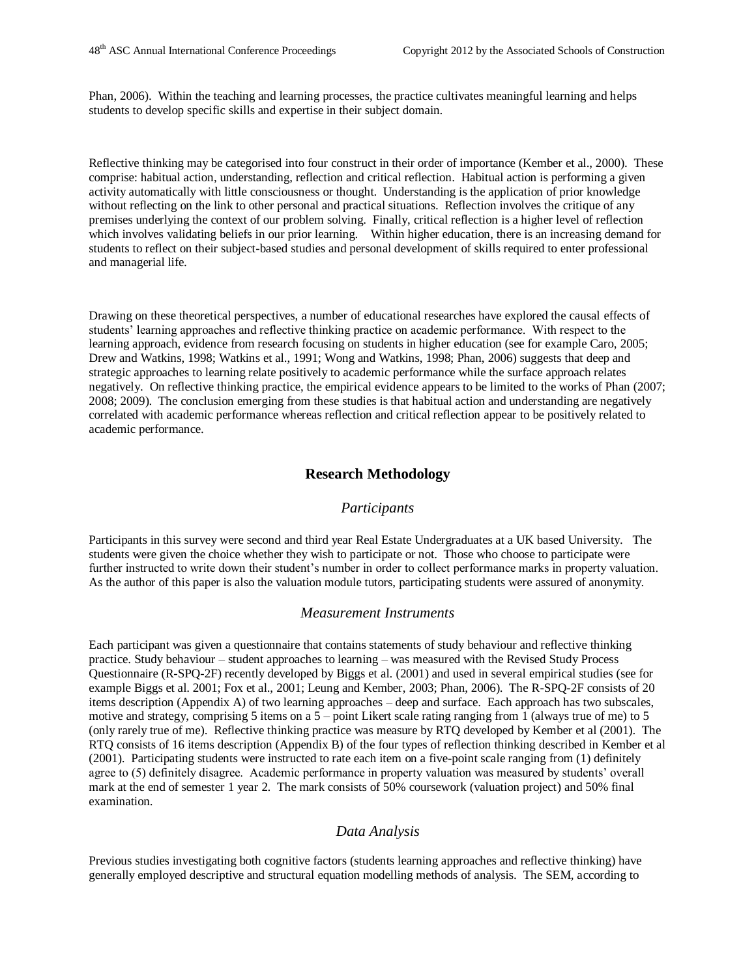Phan, 2006). Within the teaching and learning processes, the practice cultivates meaningful learning and helps students to develop specific skills and expertise in their subject domain.

Reflective thinking may be categorised into four construct in their order of importance (Kember et al., 2000). These comprise: habitual action, understanding, reflection and critical reflection. Habitual action is performing a given activity automatically with little consciousness or thought. Understanding is the application of prior knowledge without reflecting on the link to other personal and practical situations. Reflection involves the critique of any premises underlying the context of our problem solving. Finally, critical reflection is a higher level of reflection which involves validating beliefs in our prior learning. Within higher education, there is an increasing demand for students to reflect on their subject-based studies and personal development of skills required to enter professional and managerial life.

Drawing on these theoretical perspectives, a number of educational researches have explored the causal effects of students' learning approaches and reflective thinking practice on academic performance. With respect to the learning approach, evidence from research focusing on students in higher education (see for example Caro, 2005; Drew and Watkins, 1998; Watkins et al., 1991; Wong and Watkins, 1998; Phan, 2006) suggests that deep and strategic approaches to learning relate positively to academic performance while the surface approach relates negatively. On reflective thinking practice, the empirical evidence appears to be limited to the works of Phan (2007; 2008; 2009). The conclusion emerging from these studies is that habitual action and understanding are negatively correlated with academic performance whereas reflection and critical reflection appear to be positively related to academic performance.

#### **Research Methodology**

#### *Participants*

Participants in this survey were second and third year Real Estate Undergraduates at a UK based University. The students were given the choice whether they wish to participate or not. Those who choose to participate were further instructed to write down their student's number in order to collect performance marks in property valuation. As the author of this paper is also the valuation module tutors, participating students were assured of anonymity.

#### *Measurement Instruments*

Each participant was given a questionnaire that contains statements of study behaviour and reflective thinking practice. Study behaviour – student approaches to learning – was measured with the Revised Study Process Questionnaire (R-SPQ-2F) recently developed by Biggs et al. (2001) and used in several empirical studies (see for example Biggs et al. 2001; Fox et al., 2001; Leung and Kember, 2003; Phan, 2006). The R-SPQ-2F consists of 20 items description (Appendix A) of two learning approaches – deep and surface. Each approach has two subscales, motive and strategy, comprising 5 items on a  $5$  – point Likert scale rating ranging from 1 (always true of me) to 5 (only rarely true of me). Reflective thinking practice was measure by RTQ developed by Kember et al (2001). The RTQ consists of 16 items description (Appendix B) of the four types of reflection thinking described in Kember et al (2001). Participating students were instructed to rate each item on a five-point scale ranging from (1) definitely agree to (5) definitely disagree. Academic performance in property valuation was measured by students' overall mark at the end of semester 1 year 2. The mark consists of 50% coursework (valuation project) and 50% final examination.

#### *Data Analysis*

Previous studies investigating both cognitive factors (students learning approaches and reflective thinking) have generally employed descriptive and structural equation modelling methods of analysis. The SEM, according to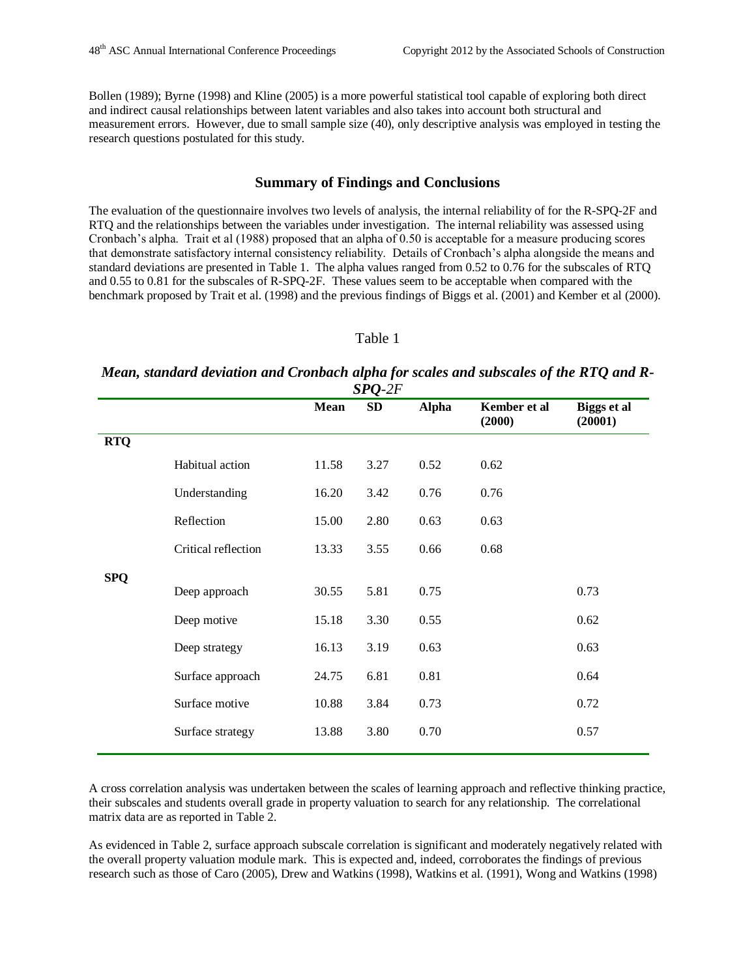Bollen (1989); Byrne (1998) and Kline (2005) is a more powerful statistical tool capable of exploring both direct and indirect causal relationships between latent variables and also takes into account both structural and measurement errors. However, due to small sample size (40), only descriptive analysis was employed in testing the research questions postulated for this study.

#### **Summary of Findings and Conclusions**

The evaluation of the questionnaire involves two levels of analysis, the internal reliability of for the R-SPQ-2F and RTQ and the relationships between the variables under investigation. The internal reliability was assessed using Cronbach's alpha. Trait et al (1988) proposed that an alpha of 0.50 is acceptable for a measure producing scores that demonstrate satisfactory internal consistency reliability. Details of Cronbach's alpha alongside the means and standard deviations are presented in Table 1. The alpha values ranged from 0.52 to 0.76 for the subscales of RTQ and 0.55 to 0.81 for the subscales of R-SPQ-2F. These values seem to be acceptable when compared with the benchmark proposed by Trait et al. (1998) and the previous findings of Biggs et al. (2001) and Kember et al (2000).

#### Table 1

#### *Mean, standard deviation and Cronbach alpha for scales and subscales of the RTQ and R-SPQ-2F*

|            |                     | Mean  | <b>SD</b> | <b>Alpha</b> | Kember et al<br>(2000) | Biggs et al<br>(20001) |
|------------|---------------------|-------|-----------|--------------|------------------------|------------------------|
| <b>RTQ</b> |                     |       |           |              |                        |                        |
|            | Habitual action     | 11.58 | 3.27      | 0.52         | 0.62                   |                        |
|            | Understanding       | 16.20 | 3.42      | 0.76         | 0.76                   |                        |
|            | Reflection          | 15.00 | 2.80      | 0.63         | 0.63                   |                        |
|            | Critical reflection | 13.33 | 3.55      | 0.66         | 0.68                   |                        |
| <b>SPQ</b> |                     |       |           |              |                        |                        |
|            | Deep approach       | 30.55 | 5.81      | 0.75         |                        | 0.73                   |
|            | Deep motive         | 15.18 | 3.30      | 0.55         |                        | 0.62                   |
|            | Deep strategy       | 16.13 | 3.19      | 0.63         |                        | 0.63                   |
|            | Surface approach    | 24.75 | 6.81      | 0.81         |                        | 0.64                   |
|            | Surface motive      | 10.88 | 3.84      | 0.73         |                        | 0.72                   |
|            | Surface strategy    | 13.88 | 3.80      | 0.70         |                        | 0.57                   |
|            |                     |       |           |              |                        |                        |

A cross correlation analysis was undertaken between the scales of learning approach and reflective thinking practice, their subscales and students overall grade in property valuation to search for any relationship. The correlational matrix data are as reported in Table 2.

As evidenced in Table 2, surface approach subscale correlation is significant and moderately negatively related with the overall property valuation module mark. This is expected and, indeed, corroborates the findings of previous research such as those of Caro (2005), Drew and Watkins (1998), Watkins et al. (1991), Wong and Watkins (1998)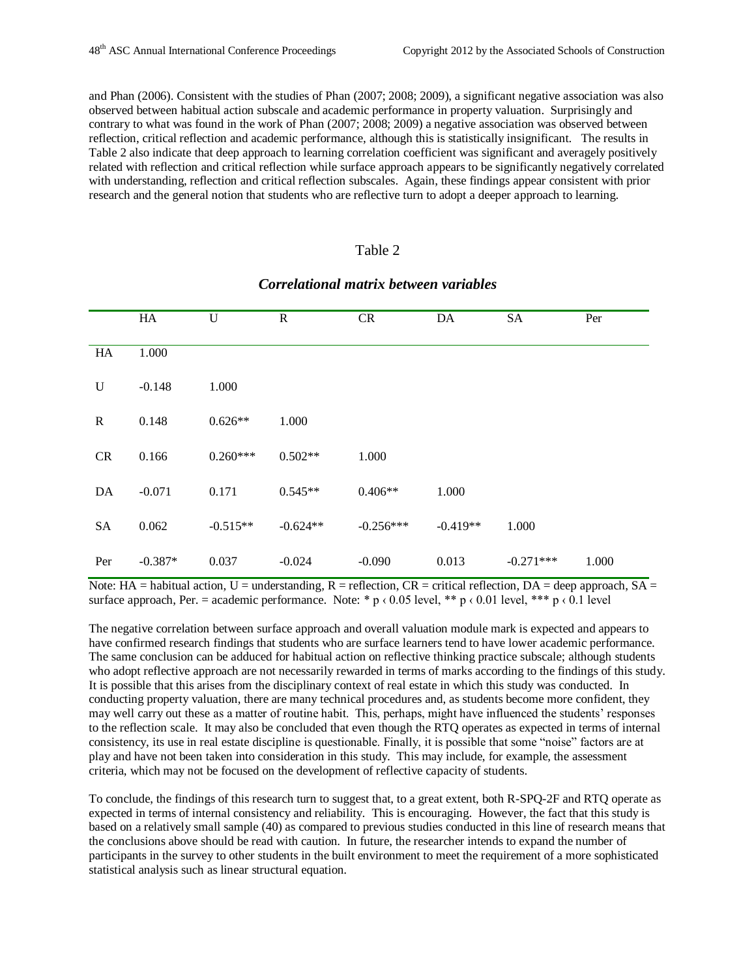and Phan (2006). Consistent with the studies of Phan (2007; 2008; 2009), a significant negative association was also observed between habitual action subscale and academic performance in property valuation. Surprisingly and contrary to what was found in the work of Phan (2007; 2008; 2009) a negative association was observed between reflection, critical reflection and academic performance, although this is statistically insignificant. The results in Table 2 also indicate that deep approach to learning correlation coefficient was significant and averagely positively related with reflection and critical reflection while surface approach appears to be significantly negatively correlated with understanding, reflection and critical reflection subscales. Again, these findings appear consistent with prior research and the general notion that students who are reflective turn to adopt a deeper approach to learning.

#### Table 2

|             | HA        | U          | $\mathbf R$ | ${\sf CR}$  | DA         | <b>SA</b>   | Per   |
|-------------|-----------|------------|-------------|-------------|------------|-------------|-------|
| HA          | 1.000     |            |             |             |            |             |       |
| $\mathbf U$ | $-0.148$  | 1.000      |             |             |            |             |       |
| $\mathbf R$ | 0.148     | $0.626**$  | 1.000       |             |            |             |       |
| CR          | 0.166     | $0.260***$ | $0.502**$   | 1.000       |            |             |       |
| DA          | $-0.071$  | 0.171      | $0.545**$   | $0.406**$   | 1.000      |             |       |
| <b>SA</b>   | 0.062     | $-0.515**$ | $-0.624**$  | $-0.256***$ | $-0.419**$ | 1.000       |       |
| Per         | $-0.387*$ | 0.037      | $-0.024$    | $-0.090$    | 0.013      | $-0.271***$ | 1.000 |

## *Correlational matrix between variables*

Note: HA = habitual action, U = understanding, R = reflection, CR = critical reflection, DA = deep approach, SA = surface approach, Per. = academic performance. Note: \* p  $\langle 0.05 \text{ level}, * \text{#} \rangle$   $\langle 0.01 \text{ level}, * \text{#} \rangle$   $\langle 0.1 \text{ level}$ 

The negative correlation between surface approach and overall valuation module mark is expected and appears to have confirmed research findings that students who are surface learners tend to have lower academic performance. The same conclusion can be adduced for habitual action on reflective thinking practice subscale; although students who adopt reflective approach are not necessarily rewarded in terms of marks according to the findings of this study. It is possible that this arises from the disciplinary context of real estate in which this study was conducted. In conducting property valuation, there are many technical procedures and, as students become more confident, they may well carry out these as a matter of routine habit. This, perhaps, might have influenced the students' responses to the reflection scale. It may also be concluded that even though the RTQ operates as expected in terms of internal consistency, its use in real estate discipline is questionable. Finally, it is possible that some "noise" factors are at play and have not been taken into consideration in this study. This may include, for example, the assessment criteria, which may not be focused on the development of reflective capacity of students.

To conclude, the findings of this research turn to suggest that, to a great extent, both R-SPQ-2F and RTQ operate as expected in terms of internal consistency and reliability. This is encouraging. However, the fact that this study is based on a relatively small sample (40) as compared to previous studies conducted in this line of research means that the conclusions above should be read with caution. In future, the researcher intends to expand the number of participants in the survey to other students in the built environment to meet the requirement of a more sophisticated statistical analysis such as linear structural equation.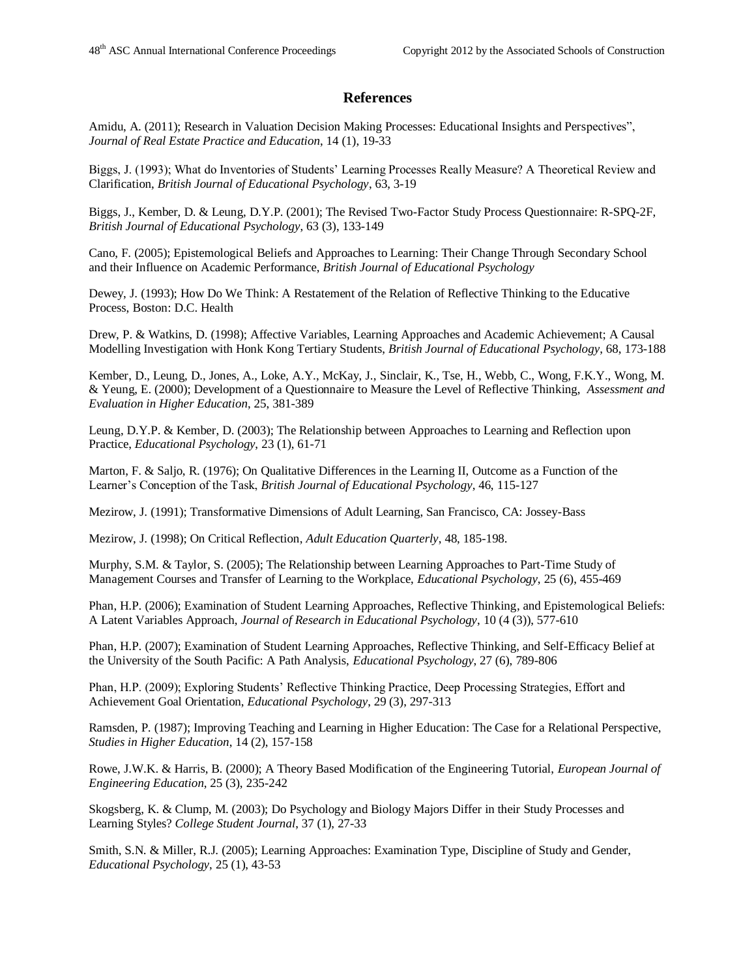#### **References**

Amidu, A. (2011); Research in Valuation Decision Making Processes: Educational Insights and Perspectives", *Journal of Real Estate Practice and Education*, 14 (1), 19-33

Biggs, J. (1993); What do Inventories of Students' Learning Processes Really Measure? A Theoretical Review and Clarification, *British Journal of Educational Psychology*, 63, 3-19

Biggs, J., Kember, D. & Leung, D.Y.P. (2001); The Revised Two-Factor Study Process Questionnaire: R-SPQ-2F, *British Journal of Educational Psychology*, 63 (3), 133-149

Cano, F. (2005); Epistemological Beliefs and Approaches to Learning: Their Change Through Secondary School and their Influence on Academic Performance, *British Journal of Educational Psychology*

Dewey, J. (1993); How Do We Think: A Restatement of the Relation of Reflective Thinking to the Educative Process, Boston: D.C. Health

Drew, P. & Watkins, D. (1998); Affective Variables, Learning Approaches and Academic Achievement; A Causal Modelling Investigation with Honk Kong Tertiary Students, *British Journal of Educational Psychology*, 68, 173-188

Kember, D., Leung, D., Jones, A., Loke, A.Y., McKay, J., Sinclair, K., Tse, H., Webb, C., Wong, F.K.Y., Wong, M. & Yeung, E. (2000); Development of a Questionnaire to Measure the Level of Reflective Thinking, *Assessment and Evaluation in Higher Education*, 25, 381-389

Leung, D.Y.P. & Kember, D. (2003); The Relationship between Approaches to Learning and Reflection upon Practice, *Educational Psychology*, 23 (1), 61-71

Marton, F. & Saljo, R. (1976); On Qualitative Differences in the Learning II, Outcome as a Function of the Learner's Conception of the Task, *British Journal of Educational Psychology*, 46, 115-127

Mezirow, J. (1991); Transformative Dimensions of Adult Learning, San Francisco, CA: Jossey-Bass

Mezirow, J. (1998); On Critical Reflection, *Adult Education Quarterly*, 48, 185-198.

Murphy, S.M. & Taylor, S. (2005); The Relationship between Learning Approaches to Part-Time Study of Management Courses and Transfer of Learning to the Workplace, *Educational Psychology*, 25 (6), 455-469

Phan, H.P. (2006); Examination of Student Learning Approaches, Reflective Thinking, and Epistemological Beliefs: A Latent Variables Approach, *Journal of Research in Educational Psychology*, 10 (4 (3)), 577-610

Phan, H.P. (2007); Examination of Student Learning Approaches, Reflective Thinking, and Self-Efficacy Belief at the University of the South Pacific: A Path Analysis, *Educational Psychology*, 27 (6), 789-806

Phan, H.P. (2009); Exploring Students' Reflective Thinking Practice, Deep Processing Strategies, Effort and Achievement Goal Orientation, *Educational Psychology*, 29 (3), 297-313

Ramsden, P. (1987); Improving Teaching and Learning in Higher Education: The Case for a Relational Perspective, *Studies in Higher Education*, 14 (2), 157-158

Rowe, J.W.K. & Harris, B. (2000); A Theory Based Modification of the Engineering Tutorial, *European Journal of Engineering Education*, 25 (3), 235-242

Skogsberg, K. & Clump, M. (2003); Do Psychology and Biology Majors Differ in their Study Processes and Learning Styles? *College Student Journal*, 37 (1), 27-33

Smith, S.N. & Miller, R.J. (2005); Learning Approaches: Examination Type, Discipline of Study and Gender, *Educational Psychology*, 25 (1), 43-53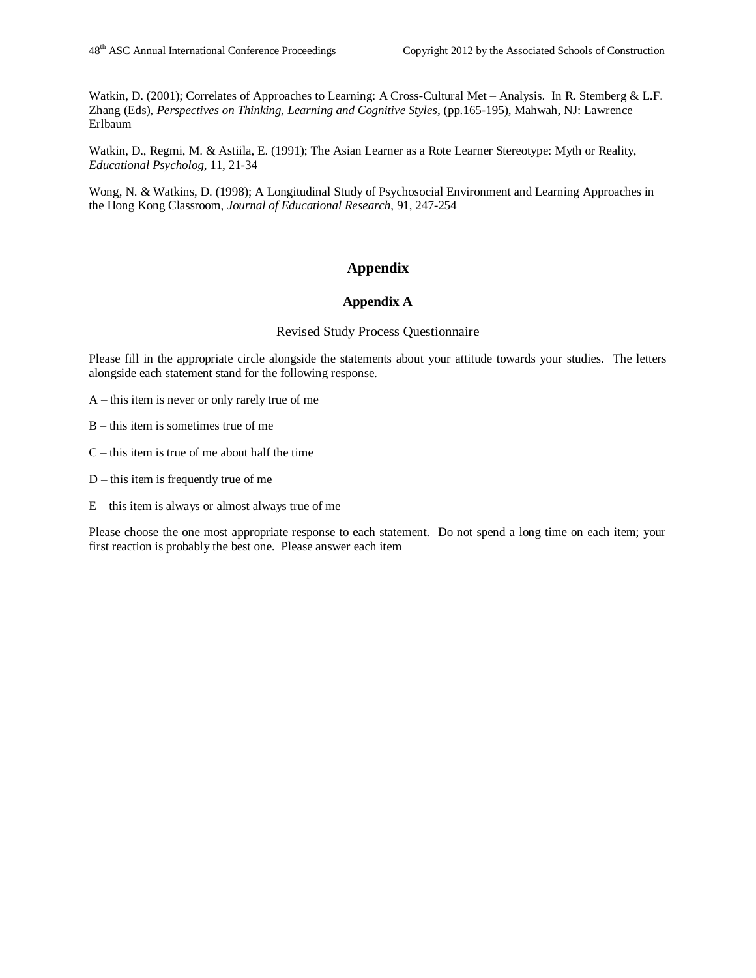Watkin, D. (2001); Correlates of Approaches to Learning: A Cross-Cultural Met – Analysis. In R. Stemberg & L.F. Zhang (Eds), *Perspectives on Thinking, Learning and Cognitive Styles*, (pp.165-195), Mahwah, NJ: Lawrence Erlbaum

Watkin, D., Regmi, M. & Astiila, E. (1991); The Asian Learner as a Rote Learner Stereotype: Myth or Reality, *Educational Psycholog*, 11, 21-34

Wong, N. & Watkins, D. (1998); A Longitudinal Study of Psychosocial Environment and Learning Approaches in the Hong Kong Classroom, *Journal of Educational Research*, 91, 247-254

# **Appendix**

#### **Appendix A**

#### Revised Study Process Questionnaire

Please fill in the appropriate circle alongside the statements about your attitude towards your studies. The letters alongside each statement stand for the following response.

A – this item is never or only rarely true of me

B – this item is sometimes true of me

- $C$  this item is true of me about half the time
- D this item is frequently true of me
- E this item is always or almost always true of me

Please choose the one most appropriate response to each statement. Do not spend a long time on each item; your first reaction is probably the best one. Please answer each item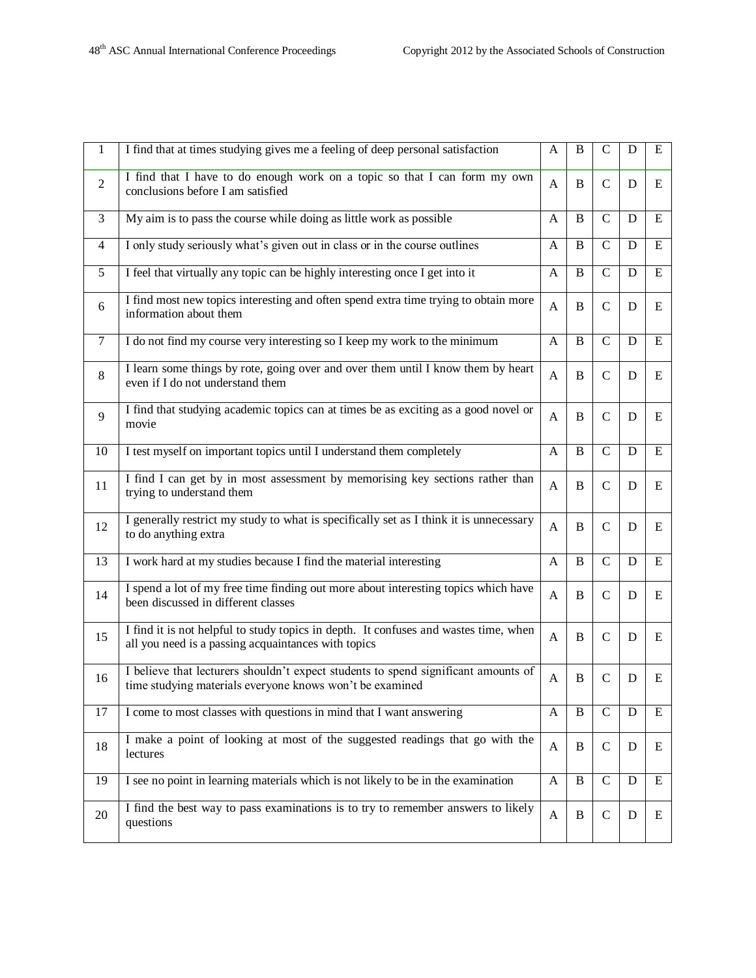| $\mathbf{1}$   | I find that at times studying gives me a feeling of deep personal satisfaction                                                                 |              |          | $\mathsf{C}$   | D | E         |
|----------------|------------------------------------------------------------------------------------------------------------------------------------------------|--------------|----------|----------------|---|-----------|
| $\overline{2}$ | I find that I have to do enough work on a topic so that I can form my own<br>conclusions before I am satisfied                                 | A            | B        | $\mathbf C$    | D | E         |
| 3              | My aim is to pass the course while doing as little work as possible                                                                            | A            | B        | $\mathsf{C}$   | D | E         |
| $\overline{4}$ | I only study seriously what's given out in class or in the course outlines                                                                     | A            | B        | $\mathbf C$    | D | E         |
| 5              | I feel that virtually any topic can be highly interesting once I get into it                                                                   | A            | B        | $\mathbf C$    | D | ${\bf E}$ |
| 6              | I find most new topics interesting and often spend extra time trying to obtain more<br>information about them                                  | A            | B        | $\mathcal{C}$  | D | E         |
| $\tau$         | I do not find my course very interesting so I keep my work to the minimum                                                                      | A            | B        | $\mathbf C$    | D | E         |
| 8              | I learn some things by rote, going over and over them until I know them by heart<br>even if I do not understand them                           | A            | B        | $\mathsf{C}$   | D | E         |
| 9              | I find that studying academic topics can at times be as exciting as a good novel or<br>movie                                                   | A            | B        | $\mathbf C$    | D | E         |
| 10             | I test myself on important topics until I understand them completely                                                                           | A            | B        | $\overline{C}$ | D | ${\bf E}$ |
| 11             | I find I can get by in most assessment by memorising key sections rather than<br>trying to understand them                                     | A            | B        | $\mathcal{C}$  | D | E         |
| 12             | I generally restrict my study to what is specifically set as I think it is unnecessary<br>to do anything extra                                 | A            | B        | $\mathcal{C}$  | D | E         |
| 13             | I work hard at my studies because I find the material interesting                                                                              | A            | B        | $\mathbf C$    | D | E         |
| 14             | I spend a lot of my free time finding out more about interesting topics which have<br>been discussed in different classes                      | $\mathbf{A}$ | B        | $\mathbf C$    | D | E         |
| 15             | I find it is not helpful to study topics in depth. It confuses and wastes time, when<br>all you need is a passing acquaintances with topics    | A            | B        | $\mathcal{C}$  | D | E         |
| 16             | I believe that lecturers shouldn't expect students to spend significant amounts of<br>time studying materials everyone knows won't be examined | A            | B        | $\mathcal{C}$  | D | E         |
| 17             | I come to most classes with questions in mind that I want answering                                                                            | A            | $\bf{B}$ | $\mathbf C$    | D | E         |
| 18             | I make a point of looking at most of the suggested readings that go with the<br>lectures                                                       | A            | B        | $\mathcal{C}$  | D | E         |
| 19             | I see no point in learning materials which is not likely to be in the examination                                                              | A            | B        | $\mathbf C$    | D | E         |
| 20             | I find the best way to pass examinations is to try to remember answers to likely<br>questions                                                  | A            | B        | $\mathsf{C}$   | D | E         |